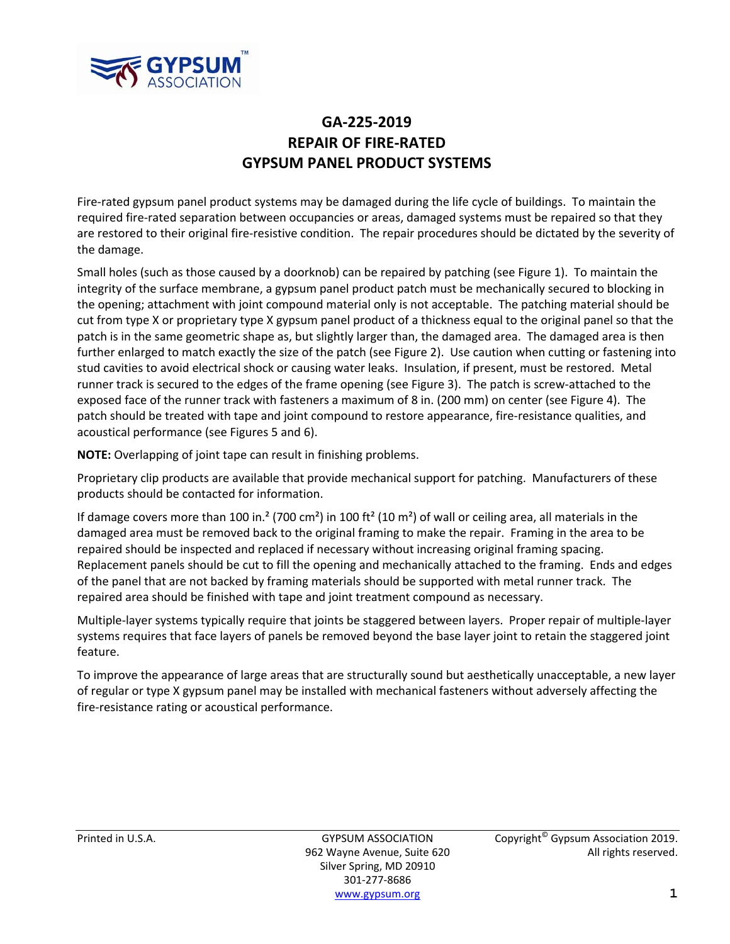

## **GA‐225‐2019 REPAIR OF FIRE‐RATED GYPSUM PANEL PRODUCT SYSTEMS**

Fire‐rated gypsum panel product systems may be damaged during the life cycle of buildings. To maintain the required fire‐rated separation between occupancies or areas, damaged systems must be repaired so that they are restored to their original fire‐resistive condition. The repair procedures should be dictated by the severity of the damage.

Small holes (such as those caused by a doorknob) can be repaired by patching (see Figure 1). To maintain the integrity of the surface membrane, a gypsum panel product patch must be mechanically secured to blocking in the opening; attachment with joint compound material only is not acceptable. The patching material should be cut from type X or proprietary type X gypsum panel product of a thickness equal to the original panel so that the patch is in the same geometric shape as, but slightly larger than, the damaged area. The damaged area is then further enlarged to match exactly the size of the patch (see Figure 2). Use caution when cutting or fastening into stud cavities to avoid electrical shock or causing water leaks. Insulation, if present, must be restored. Metal runner track is secured to the edges of the frame opening (see Figure 3). The patch is screw‐attached to the exposed face of the runner track with fasteners a maximum of 8 in. (200 mm) on center (see Figure 4). The patch should be treated with tape and joint compound to restore appearance, fire-resistance qualities, and acoustical performance (see Figures 5 and 6).

**NOTE:** Overlapping of joint tape can result in finishing problems.

Proprietary clip products are available that provide mechanical support for patching. Manufacturers of these products should be contacted for information.

If damage covers more than 100 in.<sup>2</sup> (700 cm<sup>2</sup>) in 100 ft<sup>2</sup> (10 m<sup>2</sup>) of wall or ceiling area, all materials in the damaged area must be removed back to the original framing to make the repair. Framing in the area to be repaired should be inspected and replaced if necessary without increasing original framing spacing. Replacement panels should be cut to fill the opening and mechanically attached to the framing. Ends and edges of the panel that are not backed by framing materials should be supported with metal runner track. The repaired area should be finished with tape and joint treatment compound as necessary.

Multiple‐layer systems typically require that joints be staggered between layers. Proper repair of multiple‐layer systems requires that face layers of panels be removed beyond the base layer joint to retain the staggered joint feature.

To improve the appearance of large areas that are structurally sound but aesthetically unacceptable, a new layer of regular or type X gypsum panel may be installed with mechanical fasteners without adversely affecting the fire-resistance rating or acoustical performance.

Silver Spring, MD 20910 301‐277‐8686 www.gypsum.org **1**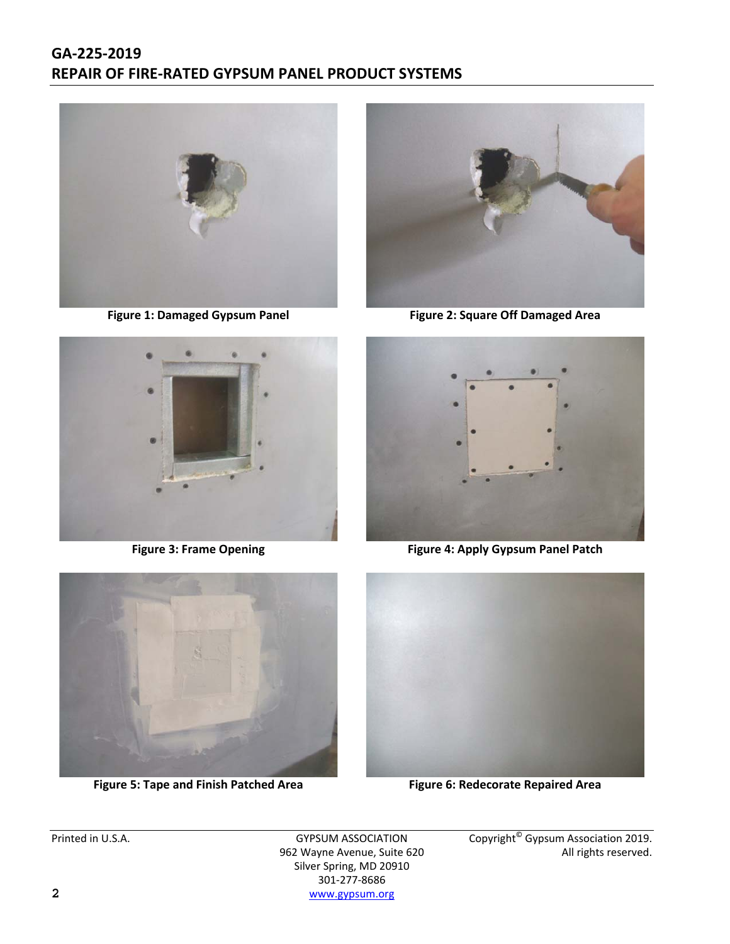## **GA‐225‐2019 REPAIR OF FIRE‐RATED GYPSUM PANEL PRODUCT SYSTEMS**







**Figure 1: Damaged Gypsum Panel Figure 2: Square Off Damaged Area**



**Figure 3: Frame Opening Figure 4: Apply Gypsum Panel Patch**



**Figure 5: Tape and Finish Patched Area Figure 6: Redecorate Repaired Area**



962 Wayne Avenue, Suite 620 Silver Spring, MD 20910 301‐277‐8686 **2** www.gypsum.org

Printed in U.S.A. GYPSUM ASSOCIATION Copyright<sup>®</sup> Gypsum Association 2019.<br>962 Wayne Avenue, Suite 620 Manument Copyright<sup>®</sup> Gypsum Association 2019.